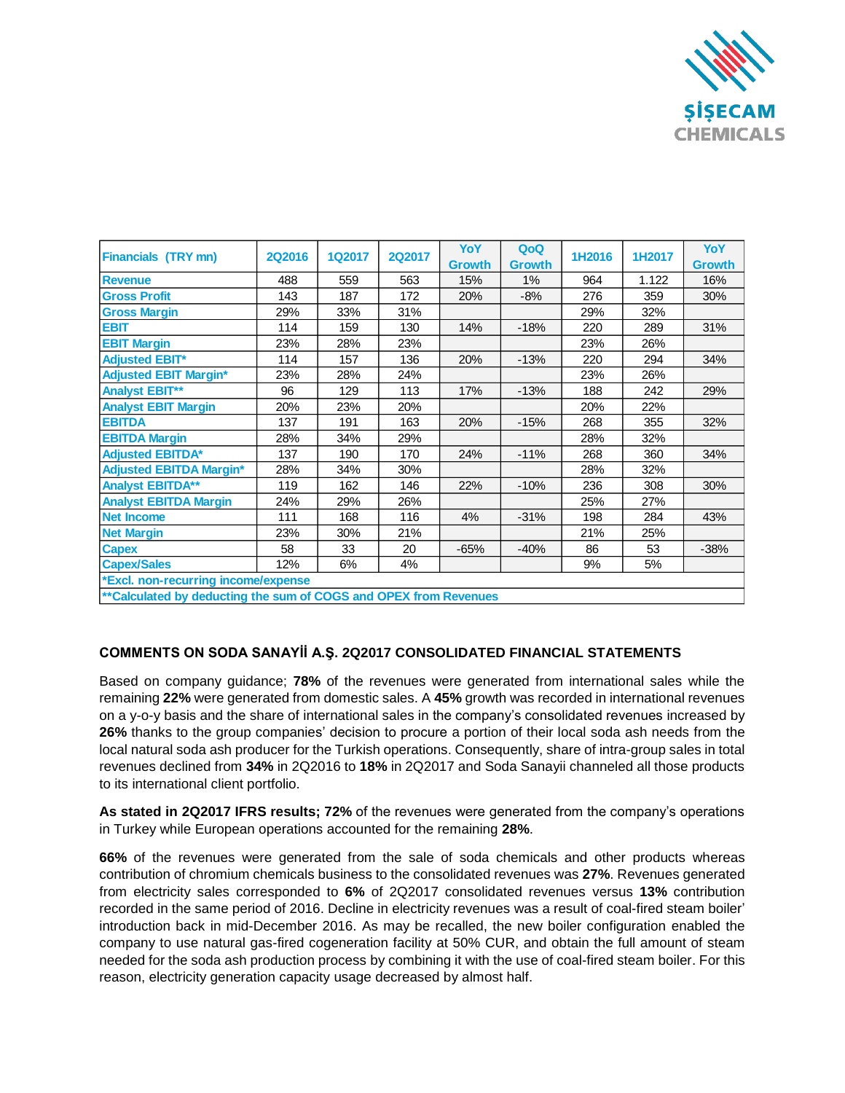

| <b>Financials (TRY mn)</b>                                       | <b>2Q2016</b> | <b>1Q2017</b> | <b>2Q2017</b> | YoY           | QoQ           | 1H2016 | 1H2017 | YoY           |
|------------------------------------------------------------------|---------------|---------------|---------------|---------------|---------------|--------|--------|---------------|
|                                                                  |               |               |               | <b>Growth</b> | <b>Growth</b> |        |        | <b>Growth</b> |
| <b>Revenue</b>                                                   | 488           | 559           | 563           | 15%           | 1%            | 964    | 1.122  | 16%           |
| <b>Gross Profit</b>                                              | 143           | 187           | 172           | 20%           | $-8%$         | 276    | 359    | 30%           |
| <b>Gross Margin</b>                                              | 29%           | 33%           | 31%           |               |               | 29%    | 32%    |               |
| <b>EBIT</b>                                                      | 114           | 159           | 130           | 14%           | $-18%$        | 220    | 289    | 31%           |
| <b>EBIT Margin</b>                                               | 23%           | 28%           | 23%           |               |               | 23%    | 26%    |               |
| <b>Adjusted EBIT*</b>                                            | 114           | 157           | 136           | 20%           | $-13%$        | 220    | 294    | 34%           |
| <b>Adjusted EBIT Margin*</b>                                     | 23%           | 28%           | 24%           |               |               | 23%    | 26%    |               |
| <b>Analyst EBIT**</b>                                            | 96            | 129           | 113           | 17%           | $-13%$        | 188    | 242    | 29%           |
| <b>Analyst EBIT Margin</b>                                       | 20%           | 23%           | 20%           |               |               | 20%    | 22%    |               |
| <b>EBITDA</b>                                                    | 137           | 191           | 163           | 20%           | $-15%$        | 268    | 355    | 32%           |
| <b>EBITDA Margin</b>                                             | 28%           | 34%           | 29%           |               |               | 28%    | 32%    |               |
| <b>Adjusted EBITDA*</b>                                          | 137           | 190           | 170           | 24%           | $-11%$        | 268    | 360    | 34%           |
| <b>Adjusted EBITDA Margin*</b>                                   | 28%           | 34%           | 30%           |               |               | 28%    | 32%    |               |
| <b>Analyst EBITDA**</b>                                          | 119           | 162           | 146           | 22%           | $-10%$        | 236    | 308    | 30%           |
| <b>Analyst EBITDA Margin</b>                                     | 24%           | 29%           | 26%           |               |               | 25%    | 27%    |               |
| <b>Net Income</b>                                                | 111           | 168           | 116           | 4%            | $-31%$        | 198    | 284    | 43%           |
| <b>Net Margin</b>                                                | 23%           | 30%           | 21%           |               |               | 21%    | 25%    |               |
| <b>Capex</b>                                                     | 58            | 33            | 20            | $-65%$        | $-40%$        | 86     | 53     | $-38%$        |
| <b>Capex/Sales</b>                                               | 12%           | 6%            | 4%            |               |               | 9%     | 5%     |               |
| *Excl. non-recurring income/expense                              |               |               |               |               |               |        |        |               |
| **Calculated by deducting the sum of COGS and OPEX from Revenues |               |               |               |               |               |        |        |               |

## **COMMENTS ON SODA SANAYİİ A.Ş. 2Q2017 CONSOLIDATED FINANCIAL STATEMENTS**

Based on company guidance; **78%** of the revenues were generated from international sales while the remaining **22%** were generated from domestic sales. A **45%** growth was recorded in international revenues on a y-o-y basis and the share of international sales in the company's consolidated revenues increased by **26%** thanks to the group companies' decision to procure a portion of their local soda ash needs from the local natural soda ash producer for the Turkish operations. Consequently, share of intra-group sales in total revenues declined from **34%** in 2Q2016 to **18%** in 2Q2017 and Soda Sanayii channeled all those products to its international client portfolio.

**As stated in 2Q2017 IFRS results; 72%** of the revenues were generated from the company's operations in Turkey while European operations accounted for the remaining **28%**.

**66%** of the revenues were generated from the sale of soda chemicals and other products whereas contribution of chromium chemicals business to the consolidated revenues was **27%**. Revenues generated from electricity sales corresponded to **6%** of 2Q2017 consolidated revenues versus **13%** contribution recorded in the same period of 2016. Decline in electricity revenues was a result of coal-fired steam boiler' introduction back in mid-December 2016. As may be recalled, the new boiler configuration enabled the company to use natural gas-fired cogeneration facility at 50% CUR, and obtain the full amount of steam needed for the soda ash production process by combining it with the use of coal-fired steam boiler. For this reason, electricity generation capacity usage decreased by almost half.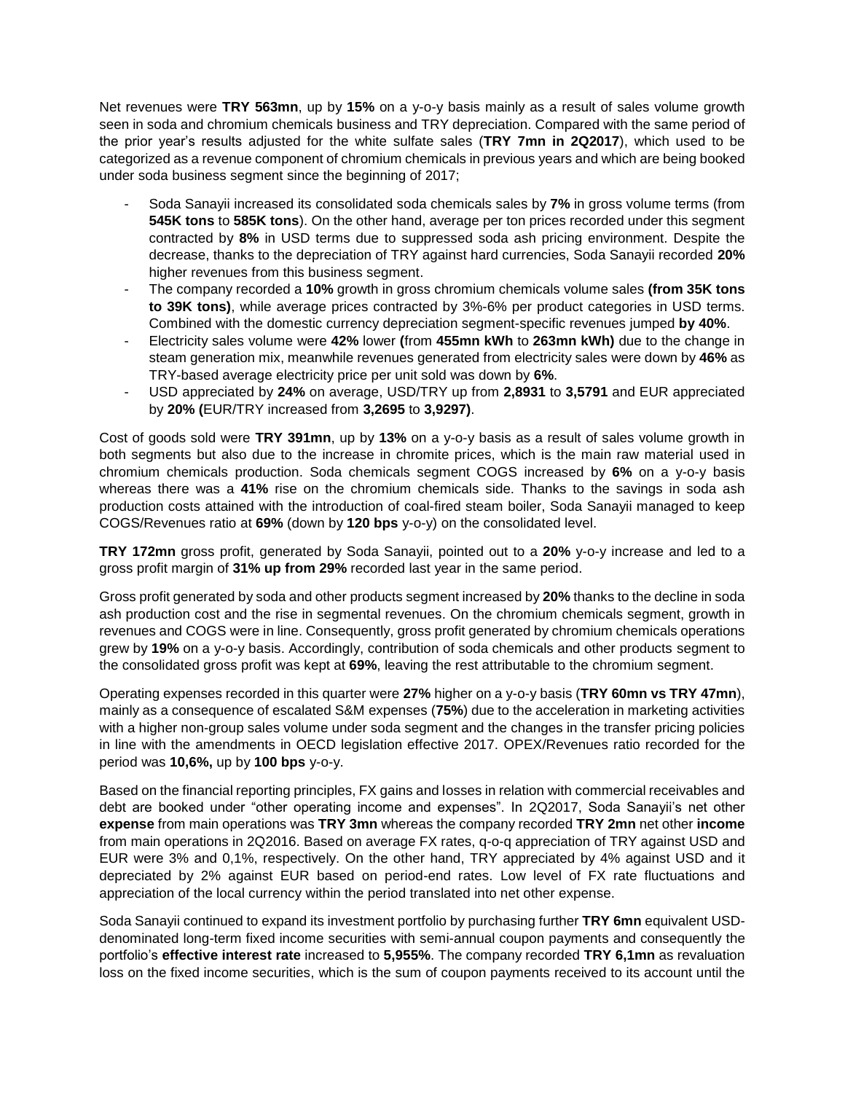Net revenues were **TRY 563mn**, up by **15%** on a y-o-y basis mainly as a result of sales volume growth seen in soda and chromium chemicals business and TRY depreciation. Compared with the same period of the prior year's results adjusted for the white sulfate sales (**TRY 7mn in 2Q2017**), which used to be categorized as a revenue component of chromium chemicals in previous years and which are being booked under soda business segment since the beginning of 2017;

- Soda Sanayii increased its consolidated soda chemicals sales by **7%** in gross volume terms (from **545K tons** to **585K tons**). On the other hand, average per ton prices recorded under this segment contracted by **8%** in USD terms due to suppressed soda ash pricing environment. Despite the decrease, thanks to the depreciation of TRY against hard currencies, Soda Sanayii recorded **20%** higher revenues from this business segment.
- The company recorded a **10%** growth in gross chromium chemicals volume sales **(from 35K tons to 39K tons)**, while average prices contracted by 3%-6% per product categories in USD terms. Combined with the domestic currency depreciation segment-specific revenues jumped **by 40%**.
- Electricity sales volume were **42%** lower **(**from **455mn kWh** to **263mn kWh)** due to the change in steam generation mix, meanwhile revenues generated from electricity sales were down by **46%** as TRY-based average electricity price per unit sold was down by **6%**.
- USD appreciated by **24%** on average, USD/TRY up from **2,8931** to **3,5791** and EUR appreciated by **20% (**EUR/TRY increased from **3,2695** to **3,9297)**.

Cost of goods sold were **TRY 391mn**, up by **13%** on a y-o-y basis as a result of sales volume growth in both segments but also due to the increase in chromite prices, which is the main raw material used in chromium chemicals production. Soda chemicals segment COGS increased by **6%** on a y-o-y basis whereas there was a **41%** rise on the chromium chemicals side. Thanks to the savings in soda ash production costs attained with the introduction of coal-fired steam boiler, Soda Sanayii managed to keep COGS/Revenues ratio at **69%** (down by **120 bps** y-o-y) on the consolidated level.

**TRY 172mn** gross profit, generated by Soda Sanayii, pointed out to a **20%** y-o-y increase and led to a gross profit margin of **31% up from 29%** recorded last year in the same period.

Gross profit generated by soda and other products segment increased by **20%** thanks to the decline in soda ash production cost and the rise in segmental revenues. On the chromium chemicals segment, growth in revenues and COGS were in line. Consequently, gross profit generated by chromium chemicals operations grew by **19%** on a y-o-y basis. Accordingly, contribution of soda chemicals and other products segment to the consolidated gross profit was kept at **69%**, leaving the rest attributable to the chromium segment.

Operating expenses recorded in this quarter were **27%** higher on a y-o-y basis (**TRY 60mn vs TRY 47mn**), mainly as a consequence of escalated S&M expenses (**75%**) due to the acceleration in marketing activities with a higher non-group sales volume under soda segment and the changes in the transfer pricing policies in line with the amendments in OECD legislation effective 2017. OPEX/Revenues ratio recorded for the period was **10,6%,** up by **100 bps** y-o-y.

Based on the financial reporting principles, FX gains and losses in relation with commercial receivables and debt are booked under "other operating income and expenses". In 2Q2017, Soda Sanayii's net other **expense** from main operations was **TRY 3mn** whereas the company recorded **TRY 2mn** net other **income** from main operations in 2Q2016. Based on average FX rates, q-o-q appreciation of TRY against USD and EUR were 3% and 0,1%, respectively. On the other hand, TRY appreciated by 4% against USD and it depreciated by 2% against EUR based on period-end rates. Low level of FX rate fluctuations and appreciation of the local currency within the period translated into net other expense.

Soda Sanayii continued to expand its investment portfolio by purchasing further **TRY 6mn** equivalent USDdenominated long-term fixed income securities with semi-annual coupon payments and consequently the portfolio's **effective interest rate** increased to **5,955%**. The company recorded **TRY 6,1mn** as revaluation loss on the fixed income securities, which is the sum of coupon payments received to its account until the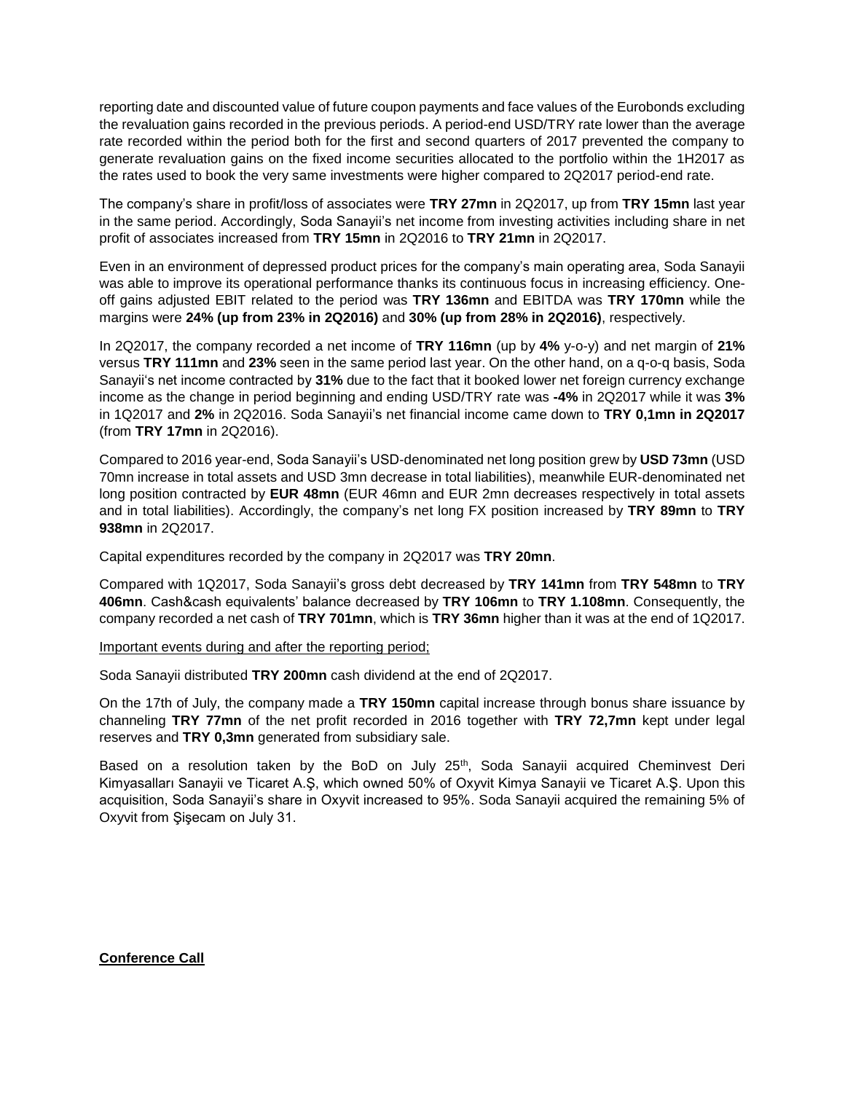reporting date and discounted value of future coupon payments and face values of the Eurobonds excluding the revaluation gains recorded in the previous periods. A period-end USD/TRY rate lower than the average rate recorded within the period both for the first and second quarters of 2017 prevented the company to generate revaluation gains on the fixed income securities allocated to the portfolio within the 1H2017 as the rates used to book the very same investments were higher compared to 2Q2017 period-end rate.

The company's share in profit/loss of associates were **TRY 27mn** in 2Q2017, up from **TRY 15mn** last year in the same period. Accordingly, Soda Sanayii's net income from investing activities including share in net profit of associates increased from **TRY 15mn** in 2Q2016 to **TRY 21mn** in 2Q2017.

Even in an environment of depressed product prices for the company's main operating area, Soda Sanayii was able to improve its operational performance thanks its continuous focus in increasing efficiency. Oneoff gains adjusted EBIT related to the period was **TRY 136mn** and EBITDA was **TRY 170mn** while the margins were **24% (up from 23% in 2Q2016)** and **30% (up from 28% in 2Q2016)**, respectively.

In 2Q2017, the company recorded a net income of **TRY 116mn** (up by **4%** y-o-y) and net margin of **21%** versus **TRY 111mn** and **23%** seen in the same period last year. On the other hand, on a q-o-q basis, Soda Sanayii's net income contracted by **31%** due to the fact that it booked lower net foreign currency exchange income as the change in period beginning and ending USD/TRY rate was **-4%** in 2Q2017 while it was **3%** in 1Q2017 and **2%** in 2Q2016. Soda Sanayii's net financial income came down to **TRY 0,1mn in 2Q2017**  (from **TRY 17mn** in 2Q2016).

Compared to 2016 year-end, Soda Sanayii's USD-denominated net long position grew by **USD 73mn** (USD 70mn increase in total assets and USD 3mn decrease in total liabilities), meanwhile EUR-denominated net long position contracted by **EUR 48mn** (EUR 46mn and EUR 2mn decreases respectively in total assets and in total liabilities). Accordingly, the company's net long FX position increased by **TRY 89mn** to **TRY 938mn** in 2Q2017.

Capital expenditures recorded by the company in 2Q2017 was **TRY 20mn**.

Compared with 1Q2017, Soda Sanayii's gross debt decreased by **TRY 141mn** from **TRY 548mn** to **TRY 406mn**. Cash&cash equivalents' balance decreased by **TRY 106mn** to **TRY 1.108mn**. Consequently, the company recorded a net cash of **TRY 701mn**, which is **TRY 36mn** higher than it was at the end of 1Q2017.

Important events during and after the reporting period;

Soda Sanayii distributed **TRY 200mn** cash dividend at the end of 2Q2017.

On the 17th of July, the company made a **TRY 150mn** capital increase through bonus share issuance by channeling **TRY 77mn** of the net profit recorded in 2016 together with **TRY 72,7mn** kept under legal reserves and **TRY 0,3mn** generated from subsidiary sale.

Based on a resolution taken by the BoD on July 25<sup>th</sup>, Soda Sanayii acquired Cheminvest Deri Kimyasalları Sanayii ve Ticaret A.Ş, which owned 50% of Oxyvit Kimya Sanayii ve Ticaret A.Ş. Upon this acquisition, Soda Sanayii's share in Oxyvit increased to 95%. Soda Sanayii acquired the remaining 5% of Oxyvit from Şişecam on July 31.

## **Conference Call**